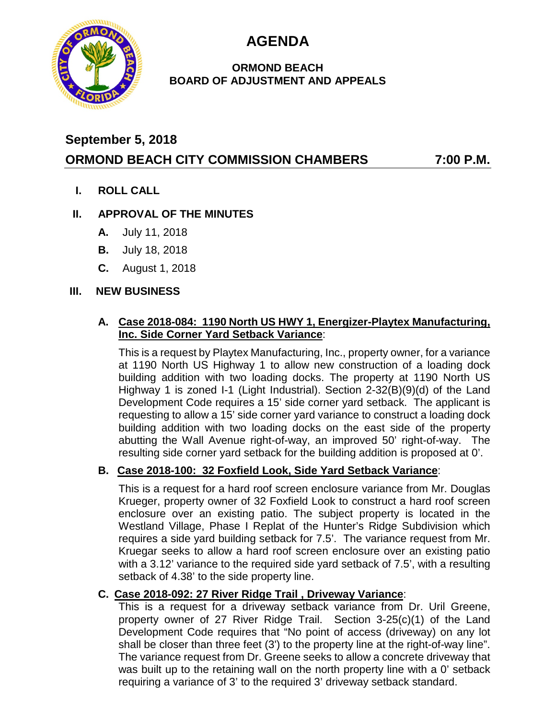**AGENDA**



## **ORMOND BEACH BOARD OF ADJUSTMENT AND APPEALS**

# **September 5, 2018 ORMOND BEACH CITY COMMISSION CHAMBERS 7:00 P.M.**

**I. ROLL CALL**

# **II. APPROVAL OF THE MINUTES**

- **A.** July 11, 2018
- **B.** July 18, 2018
- **C.** August 1, 2018

#### **III. NEW BUSINESS**

## **A. Case 2018-084: 1190 North US HWY 1, Energizer-Playtex Manufacturing, Inc. Side Corner Yard Setback Variance**:

This is a request by Playtex Manufacturing, Inc., property owner, for a variance at 1190 North US Highway 1 to allow new construction of a loading dock building addition with two loading docks. The property at 1190 North US Highway 1 is zoned I-1 (Light Industrial). Section 2-32(B)(9)(d) of the Land Development Code requires a 15' side corner yard setback. The applicant is requesting to allow a 15' side corner yard variance to construct a loading dock building addition with two loading docks on the east side of the property abutting the Wall Avenue right-of-way, an improved 50' right-of-way. The resulting side corner yard setback for the building addition is proposed at 0'.

# **B. Case 2018-100: 32 Foxfield Look, Side Yard Setback Variance**:

This is a request for a hard roof screen enclosure variance from Mr. Douglas Krueger, property owner of 32 Foxfield Look to construct a hard roof screen enclosure over an existing patio. The subject property is located in the Westland Village, Phase I Replat of the Hunter's Ridge Subdivision which requires a side yard building setback for 7.5'. The variance request from Mr. Kruegar seeks to allow a hard roof screen enclosure over an existing patio with a 3.12' variance to the required side yard setback of 7.5', with a resulting setback of 4.38' to the side property line.

## **C. Case 2018-092: 27 River Ridge Trail , Driveway Variance**:

This is a request for a driveway setback variance from Dr. Uril Greene, property owner of 27 River Ridge Trail. Section 3-25(c)(1) of the Land Development Code requires that "No point of access (driveway) on any lot shall be closer than three feet (3') to the property line at the right-of-way line". The variance request from Dr. Greene seeks to allow a concrete driveway that was built up to the retaining wall on the north property line with a 0' setback requiring a variance of 3' to the required 3' driveway setback standard.